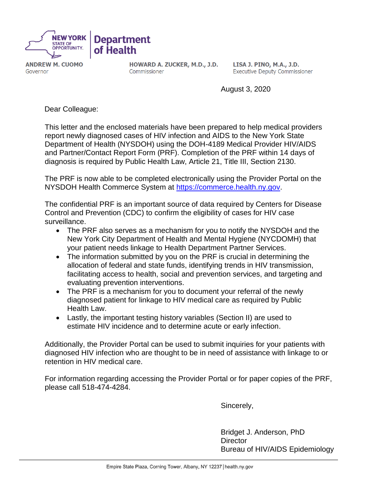

**ANDREW M. CUOMO** Governor

HOWARD A. ZUCKER, M.D., J.D. Commissioner

LISA J. PINO, M.A., J.D. **Executive Deputy Commissioner** 

August 3, 2020

Dear Colleague:

This letter and the enclosed materials have been prepared to help medical providers report newly diagnosed cases of HIV infection and AIDS to the New York State Department of Health (NYSDOH) using the DOH-4189 Medical Provider HIV/AIDS and Partner/Contact Report Form (PRF). Completion of the PRF within 14 days of diagnosis is required by Public Health Law, Article 21, Title III, Section 2130.

The PRF is now able to be completed electronically using the Provider Portal on the NYSDOH Health Commerce System at [https://commerce.health.n](https://commerce.health.state.ny.us/)y.gov.

The confidential PRF is an important source of data required by Centers for Disease Control and Prevention (CDC) to confirm the eligibility of cases for HIV case surveillance.

- The PRF also serves as a mechanism for you to notify the NYSDOH and the New York City Department of Health and Mental Hygiene (NYCDOMH) that your patient needs linkage to Health Department Partner Services.
- The information submitted by you on the PRF is crucial in determining the allocation of federal and state funds, identifying trends in HIV transmission, facilitating access to health, social and prevention services, and targeting and evaluating prevention interventions.
- The PRF is a mechanism for you to document your referral of the newly diagnosed patient for linkage to HIV medical care as required by Public Health Law.
- Lastly, the important testing history variables (Section II) are used to estimate HIV incidence and to determine acute or early infection.

Additionally, the Provider Portal can be used to submit inquiries for your patients with diagnosed HIV infection who are thought to be in need of assistance with linkage to or retention in HIV medical care.

For information regarding accessing the Provider Portal or for paper copies of the PRF, please call 518-474-4284.

Sincerely,

Bridget J. Anderson, PhD **Director** Bureau of HIV/AIDS Epidemiology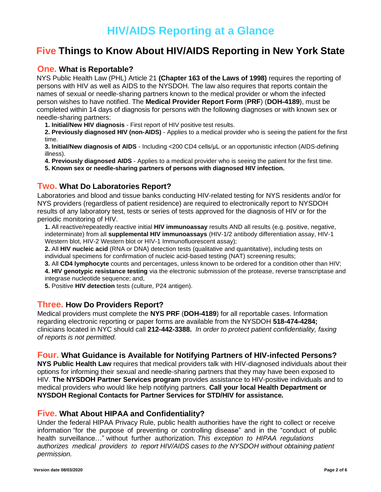## **HIV/AIDS Reporting at a Glance**

### **Five Things to Know About HIV/AIDS Reporting in New York State**

### **One. What is Reportable?**

NYS Public Health Law (PHL) Article 21 **(Chapter 163 of the Laws of 1998)** requires the reporting of persons with HIV as well as AIDS to the NYSDOH. The law also requires that reports contain the names of sexual or needle-sharing partners known to the medical provider or whom the infected person wishes to have notified. The **Medical Provider Report Form** (**PRF**) (**DOH-4189**), must be completed within 14 days of diagnosis for persons with the following diagnoses or with known sex or needle-sharing partners:

**1. Initial/New HIV diagnosis** - First report of HIV positive test results.

**2. Previously diagnosed HIV (non-AIDS)** - Applies to a medical provider who is seeing the patient for the first time.

**3. Initial/New diagnosis of AIDS** - Including <200 CD4 cells/μL or an opportunistic infection (AIDS-defining illness).

**4. Previously diagnosed AIDS** - Applies to a medical provider who is seeing the patient for the first time.

**5. Known sex or needle-sharing partners of persons with diagnosed HIV infection.**

### **Two. What Do Laboratories Report?**

Laboratories and blood and tissue banks conducting HIV-related testing for NYS residents and/or for NYS providers (regardless of patient residence) are required to electronically report to NYSDOH results of any laboratory test, tests or series of tests approved for the diagnosis of HIV or for the periodic monitoring of HIV.

**1.** All reactive/repeatedly reactive initial **HIV immunoassay** results AND all results (e.g. positive, negative, indeterminate) from all **supplemental HIV immunoassays** (HIV-1/2 antibody differentiation assay, HIV-1 Western blot, HIV-2 Western blot or HIV-1 Immunofluorescent assay);

**2.** All **HIV nucleic acid** (RNA or DNA) detection tests (qualitative and quantitative), including tests on individual specimens for confirmation of nucleic acid-based testing (NAT) screening results;

**3.** All **CD4 lymphocyte** counts and percentages, unless known to be ordered for a condition other than HIV;

**4. HIV genotypic resistance testing** via the electronic submission of the protease, reverse transcriptase and integrase nucleotide sequence; and,

**5.** Positive **HIV detection** tests (culture, P24 antigen).

### **Three. How Do Providers Report?**

Medical providers must complete the **NYS PRF** (**DOH-4189**) for all reportable cases. Information regarding electronic reporting or paper forms are available from the NYSDOH **518-474-4284;**  clinicians located in NYC should call **212-442-3388.** *In order to protect patient confidentiality, faxing of reports is not permitted.*

### **Four. What Guidance is Available for Notifying Partners of HIV-infected Persons?**

**NYS Public Health Law** requires that medical providers talk with HIV-diagnosed individuals about their options for informing their sexual and needle-sharing partners that they may have been exposed to HIV. **The NYSDOH Partner Services program** provides assistance to HIV-positive individuals and to medical providers who would like help notifying partners. **Call your local Health Department or NYSDOH Regional Contacts for Partner Services for STD/HIV for assistance.**

### **Five. What About HIPAA and Confidentiality?**

Under the federal HIPAA Privacy Rule, public health authorities have the right to collect or receive information "for the purpose of preventing or controlling disease" and in the "conduct of public health surveillance…" without further authorization. *This exception to HIPAA regulations authorizes medical providers to report HIV/AIDS cases to the NYSDOH without obtaining patient permission.*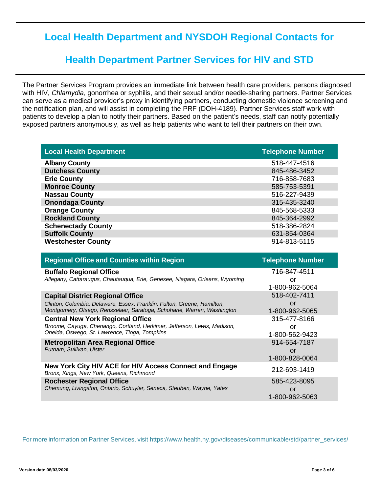## **Local Health Department and NYSDOH Regional Contacts for**

## **Health Department Partner Services for HIV and STD**

The Partner Services Program provides an immediate link between health care providers, persons diagnosed with HIV, *Chlamydia*, gonorrhea or syphilis, and their sexual and/or needle-sharing partners. Partner Services can serve as a medical provider's proxy in identifying partners, conducting domestic violence screening and the notification plan, and will assist in completing the PRF (DOH-4189). Partner Services staff work with patients to develop a plan to notify their partners. Based on the patient's needs, staff can notify potentially exposed partners anonymously, as well as help patients who want to tell their partners on their own.

| <b>Local Health Department</b> | <b>Telephone Number</b> |
|--------------------------------|-------------------------|
| <b>Albany County</b>           | 518-447-4516            |
| <b>Dutchess County</b>         | 845-486-3452            |
| <b>Erie County</b>             | 716-858-7683            |
| <b>Monroe County</b>           | 585-753-5391            |
| <b>Nassau County</b>           | 516-227-9439            |
| <b>Onondaga County</b>         | 315-435-3240            |
| <b>Orange County</b>           | 845-568-5333            |
| <b>Rockland County</b>         | 845-364-2992            |
| <b>Schenectady County</b>      | 518-386-2824            |
| <b>Suffolk County</b>          | 631-854-0364            |
| <b>Westchester County</b>      | 914-813-5115            |

| <b>Regional Office and Counties within Region</b>                                                   | <b>Telephone Number</b> |
|-----------------------------------------------------------------------------------------------------|-------------------------|
| <b>Buffalo Regional Office</b>                                                                      | 716-847-4511            |
| Allegany, Cattaraugus, Chautauqua, Erie, Genesee, Niagara, Orleans, Wyoming                         | or                      |
|                                                                                                     | 1-800-962-5064          |
| <b>Capital District Regional Office</b>                                                             | 518-402-7411            |
| Clinton, Columbia, Delaware, Essex, Franklin, Fulton, Greene, Hamilton,                             | or                      |
| Montgomery, Otsego, Rensselaer, Saratoga, Schoharie, Warren, Washington                             | 1-800-962-5065          |
| <b>Central New York Regional Office</b>                                                             | 315-477-8166            |
| Broome, Cayuga, Chenango, Cortland, Herkimer, Jefferson, Lewis, Madison,                            | or                      |
| Oneida, Oswego, St. Lawrence, Tioga, Tompkins                                                       | 1-800-562-9423          |
| <b>Metropolitan Area Regional Office</b>                                                            | 914-654-7187            |
| Putnam, Sullivan, Ulster                                                                            | or                      |
|                                                                                                     | 1-800-828-0064          |
| New York City HIV ACE for HIV Access Connect and Engage<br>Bronx, Kings, New York, Queens, Richmond | 212-693-1419            |
| <b>Rochester Regional Office</b>                                                                    | 585-423-8095            |
| Chemung, Livingston, Ontario, Schuyler, Seneca, Steuben, Wayne, Yates                               | or                      |
|                                                                                                     | 1-800-962-5063          |

For more information on Partner Services, visit https://www.health.ny.gov/diseases/communicable/std/partner\_services/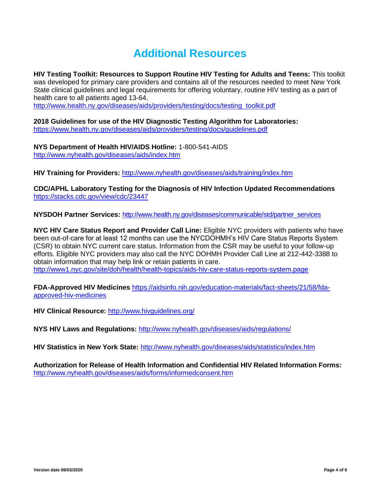# **Additional Resources**

**HIV Testing Toolkit: Resources to Support Routine HIV Testing for Adults and Teens:** This toolkit was developed for primary care providers and contains all of the resources needed to meet New York State clinical guidelines and legal requirements for offering voluntary, routine HIV testing as a part of health care to all patients aged 13-64.

[http://www.health.ny.gov/diseases/aids/providers/testing/docs/testing\\_toolkit.pdf](http://www.health.ny.gov/diseases/aids/providers/testing/docs/testing_toolkit.pdf)

**2018 Guidelines for use of the HIV Diagnostic Testing Algorithm for Laboratories:**  <https://www.health.ny.gov/diseases/aids/providers/testing/docs/guidelines.pdf>

**NYS Department of Health HIV/AIDS Hotline:** 1-800-541-AIDS <http://www.nyhealth.gov/diseases/aids/index.htm>

**HIV Training for Providers:** <http://www.nyhealth.gov/diseases/aids/training/index.htm>

**CDC/APHL Laboratory Testing for the Diagnosis of HIV Infection Updated Recommendations** <https://stacks.cdc.gov/view/cdc/23447>

**NYSDOH Partner Services:** [http://www.health.ny.gov/diseases/communicable/std/partner\\_services](http://www.health.ny.gov/diseases/communicable/std/partner_services)

**NYC HIV Care Status Report and Provider Call Line:** Eligible NYC providers with patients who have been out-of-care for at least 12 months can use the NYCDOHMH's HIV Care Status Reports System (CSR) to obtain NYC current care status. Information from the CSR may be useful to your follow-up efforts. Eligible NYC providers may also call the NYC DOHMH Provider Call Line at 212-442-3388 to obtain information that may help link or retain patients in care. <http://www1.nyc.gov/site/doh/health/health-topics/aids-hiv-care-status-reports-system.page>

**FDA-Approved HIV Medicines** [https://aidsinfo.nih.gov/education-materials/fact-sheets/21/58/fda](https://aidsinfo.nih.gov/education-materials/fact-sheets/21/58/fda-approved-hiv-medicines)[approved-hiv-medicines](https://aidsinfo.nih.gov/education-materials/fact-sheets/21/58/fda-approved-hiv-medicines)

**HIV Clinical Resource:** http://www.hivguidelines.org/

**NYS HIV Laws and Regulations:** <http://www.nyhealth.gov/diseases/aids/regulations/>

**HIV Statistics in New York State:** <http://www.nyhealth.gov/diseases/aids/statistics/index.htm>

**Authorization for Release of Health Information and Confidential HIV Related Information Forms:**  <http://www.nyhealth.gov/diseases/aids/forms/informedconsent.htm>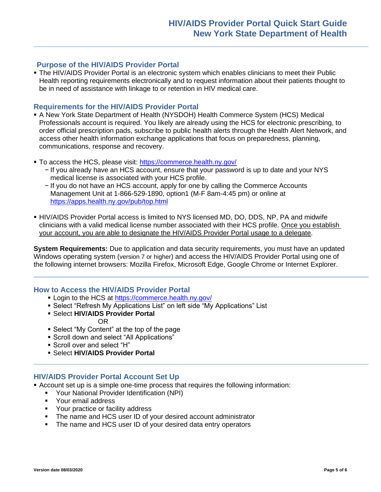### **Purpose of the HIV/AIDS Provider Portal**

**The HIV/AIDS Provider Portal is an electronic system which enables clinicians to meet their Public** Health reporting requirements electronically and to request information about their patients thought to be in need of assistance with linkage to or retention in HIV medical care.

### **Requirements for the HIV/AIDS Provider Portal**

- **A New York State Department of Health (NYSDOH) Health Commerce System (HCS) Medical** Professionals account is required. You likely are already using the HCS for electronic prescribing, to order official prescription pads, subscribe to public health alerts through the Health Alert Network, and access other health information exchange applications that focus on preparedness, planning, communications, response and recovery.
- **To access the HCS, please visit: https://commerce.health.nv.gov/** 
	- − If you already have an HCS account, ensure that your password is up to date and your NYS medical license is associated with your HCS profile.
	- − If you do not have an HCS account, apply for one by calling the Commerce Accounts Management Unit at 1-866-529-1890, option1 (M-F 8am-4:45 pm) or online at <https://apps.health.ny.gov/pub/top.html>
- **. HIV/AIDS Provider Portal access is limited to NYS licensed MD, DO, DDS, NP, PA and midwife** clinicians with a valid medical license number associated with their HCS profile. Once you establish your account, you are able to designate the HIV/AIDS Provider Portal usage to a delegate.

**System Requirements:** Due to application and data security requirements, you must have an updated Windows operating system (version 7 or higher) and access the HIV/AIDS Provider Portal using one of the following internet browsers: Mozilla Firefox, Microsoft Edge, Google Chrome or Internet Explorer.

### **How to Access the HIV/AIDS Provider Portal**

- Login to the HCS at<https://commerce.health.ny.gov/>
- **Select "Refresh My Applications List" on left side "My Applications" List**
- Select **HIV/AIDS Provider Portal**

OR

- Select "My Content" at the top of the page
- Scroll down and select "All Applications"
- Scroll over and select "H"
- Select **HIV/AIDS Provider Portal**

### **HIV/AIDS Provider Portal Account Set Up**

- **EXECOUNTE:** Account set up is a simple one-time process that requires the following information:
	- Your National Provider Identification (NPI)
	- Your email address
	- Your practice or facility address
	- The name and HCS user ID of your desired account administrator
	- **•** The name and HCS user ID of your desired data entry operators